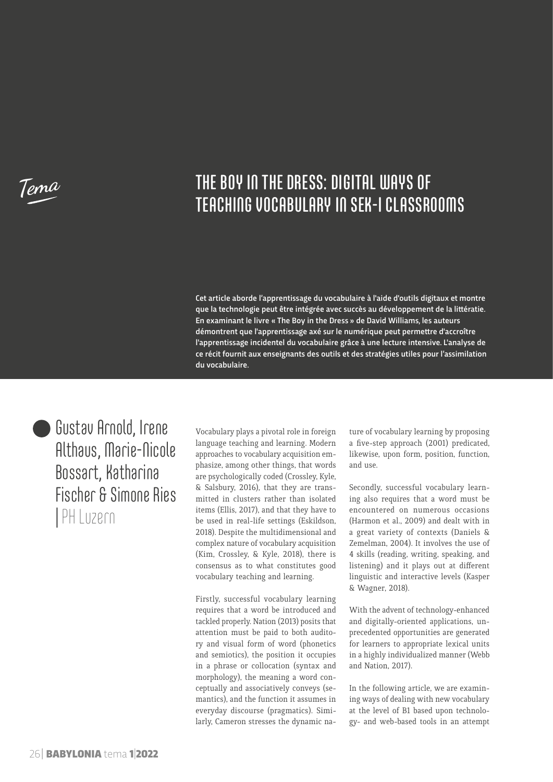**Tema**

# THE BOY IN THE DRESS: DIGITAL WAYS OF TEACHING VOCABULARY IN SEK-I CLASSROOMS

Cet article aborde l'apprentissage du vocabulaire à l'aide d'outils digitaux et montre que la technologie peut être intégrée avec succès au développement de la littératie. En examinant le livre « The Boy in the Dress » de David Williams, les auteurs démontrent que l'apprentissage axé sur le numérique peut permettre d'accroître l'apprentissage incidentel du vocabulaire grâce à une lecture intensive. L'analyse de ce récit fournit aux enseignants des outils et des stratégies utiles pour l'assimilation du vocabulaire.

Gustav Arnold, Irene Althaus, Marie-Nicole Bossart, Katharina Fischer & Simone Ries | PH Luzern

Vocabulary plays a pivotal role in foreign language teaching and learning. Modern approaches to vocabulary acquisition emphasize, among other things, that words are psychologically coded (Crossley, Kyle, & Salsbury, 2016), that they are transmitted in clusters rather than isolated items (Ellis, 2017), and that they have to be used in real-life settings (Eskildson, 2018). Despite the multidimensional and complex nature of vocabulary acquisition (Kim, Crossley, & Kyle, 2018), there is consensus as to what constitutes good vocabulary teaching and learning.

Firstly, successful vocabulary learning requires that a word be introduced and tackled properly. Nation (2013) posits that attention must be paid to both auditory and visual form of word (phonetics and semiotics), the position it occupies in a phrase or collocation (syntax and morphology), the meaning a word conceptually and associatively conveys (semantics), and the function it assumes in everyday discourse (pragmatics). Similarly, Cameron stresses the dynamic na-

ture of vocabulary learning by proposing a five-step approach (2001) predicated, likewise, upon form, position, function, and use.

Secondly, successful vocabulary learning also requires that a word must be encountered on numerous occasions (Harmon et al., 2009) and dealt with in a great variety of contexts (Daniels & Zemelman, 2004). It involves the use of 4 skills (reading, writing, speaking, and listening) and it plays out at different linguistic and interactive levels (Kasper & Wagner, 2018).

With the advent of technology-enhanced and digitally-oriented applications, unprecedented opportunities are generated for learners to appropriate lexical units in a highly individualized manner (Webb and Nation, 2017).

In the following article, we are examining ways of dealing with new vocabulary at the level of B1 based upon technology- and web-based tools in an attempt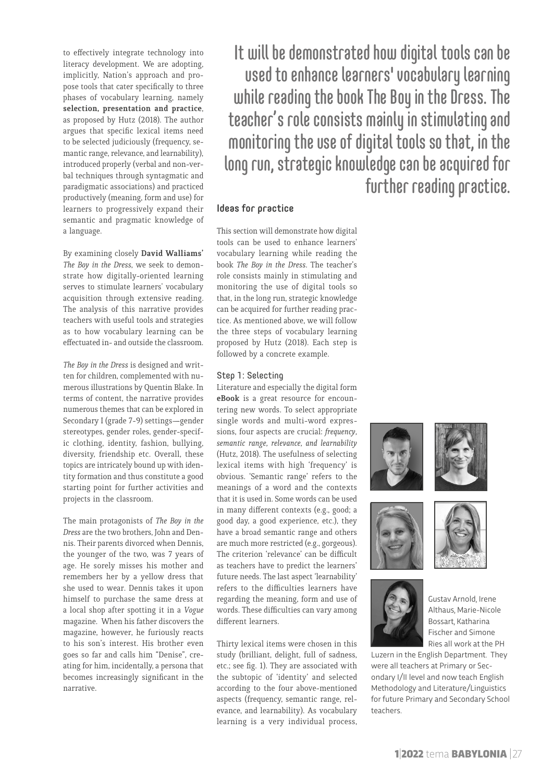to effectively integrate technology into literacy development. We are adopting, implicitly, Nation's approach and propose tools that cater specifically to three phases of vocabulary learning, namely **selection, presentation and practice**, as proposed by Hutz (2018). The author argues that specific lexical items need to be selected judiciously (frequency, semantic range, relevance, and learnability), introduced properly (verbal and non-verbal techniques through syntagmatic and paradigmatic associations) and practiced productively (meaning, form and use) for learners to progressively expand their semantic and pragmatic knowledge of a language.

By examining closely **David Walliams'**  *The Boy in the Dress*, we seek to demonstrate how digitally-oriented learning serves to stimulate learners' vocabulary acquisition through extensive reading. The analysis of this narrative provides teachers with useful tools and strategies as to how vocabulary learning can be effectuated in- and outside the classroom.

*The Boy in the Dress* is designed and written for children, complemented with numerous illustrations by Quentin Blake. In terms of content, the narrative provides numerous themes that can be explored in Secondary I (grade 7-9) settings—gender stereotypes, gender roles, gender-specific clothing, identity, fashion, bullying, diversity, friendship etc. Overall, these topics are intricately bound up with identity formation and thus constitute a good starting point for further activities and projects in the classroom.

The main protagonists of *The Boy in the Dress* are the two brothers, John and Dennis. Their parents divorced when Dennis, the younger of the two, was 7 years of age. He sorely misses his mother and remembers her by a yellow dress that she used to wear. Dennis takes it upon himself to purchase the same dress at a local shop after spotting it in a *Vogue* magazine. When his father discovers the magazine, however, he furiously reacts to his son's interest. His brother even goes so far and calls him "Denise", creating for him, incidentally, a persona that becomes increasingly significant in the narrative.

It will be demonstrated how digital tools can be used to enhance learners' vocabulary learning while reading the book The Boy in the Dress. The teacher's role consists mainly in stimulating and monitoring the use of digital tools so that, in the long run, strategic knowledge can be acquired for further reading practice.

# Ideas for practice

This section will demonstrate how digital tools can be used to enhance learners' vocabulary learning while reading the book *The Boy in the Dress*. The teacher's role consists mainly in stimulating and monitoring the use of digital tools so that, in the long run, strategic knowledge can be acquired for further reading practice. As mentioned above, we will follow the three steps of vocabulary learning proposed by Hutz (2018). Each step is followed by a concrete example.

#### Step 1: Selecting

Literature and especially the digital form **eBook** is a great resource for encountering new words. To select appropriate single words and multi-word expressions, four aspects are crucial: *frequency, semantic range, relevance, and learnability*  (Hutz, 2018). The usefulness of selecting lexical items with high 'frequency' is obvious. 'Semantic range' refers to the meanings of a word and the contexts that it is used in. Some words can be used in many different contexts (e.g., good; a good day, a good experience, etc.), they have a broad semantic range and others are much more restricted (e.g., gorgeous). The criterion 'relevance' can be difficult as teachers have to predict the learners' future needs. The last aspect 'learnability' refers to the difficulties learners have regarding the meaning, form and use of words. These difficulties can vary among different learners.

Thirty lexical items were chosen in this study (brilliant, delight, full of sadness, etc.; see fig. 1). They are associated with the subtopic of 'identity' and selected according to the four above-mentioned aspects (frequency, semantic range, relevance, and learnability). As vocabulary learning is a very individual process,





Gustav Arnold, Irene Althaus, Marie-Nicole Bossart, Katharina Fischer and Simone Ries all work at the PH

Luzern in the English Department. They were all teachers at Primary or Secondary I/II level and now teach English Methodology and Literature/Linguistics for future Primary and Secondary School teachers.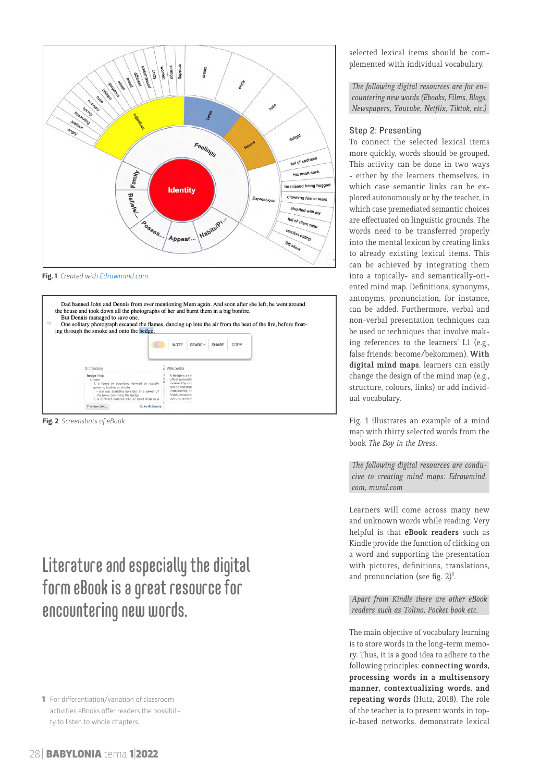

**Fig. 1**: *Created with [Edrawmind.com](https://www.edrawmind.com/online/map.html?sharecode=60d6f7969fdeb8a43468703)*



**Fig. 2**: *Screenshots of eBook*

# Literature and especially the digital form eBook is a great resource for encountering new words.

selected lexical items should be complemented with individual vocabulary.

*The following digital resources are for encountering new words (Ebooks, Films, Blogs, Newspapers, Youtube, Netflix, Tiktok, etc.)*

## Step 2: Presenting

To connect the selected lexical items more quickly, words should be grouped. This activity can be done in two ways - either by the learners themselves, in which case semantic links can be explored autonomously or by the teacher, in which case premediated semantic choices are effectuated on linguistic grounds. The words need to be transferred properly into the mental lexicon by creating links to already existing lexical items. This can be achieved by integrating them into a topically- and semantically-oriented mind map. Definitions, synonyms, antonyms, pronunciation, for instance, can be added. Furthermore, verbal and non-verbal presentation techniques can be used or techniques that involve making references to the learners' L1 (e.g., false friends: become/bekommen). **With digital mind maps**, learners can easily change the design of the mind map (e.g., structure, colours, links) or add individual vocabulary.

Fig. 1 illustrates an example of a mind map with thirty selected words from the book *The Boy in the Dress*.

*The following digital resources are conducive to creating mind maps: Edrawmind. com, mural.com*

Learners will come across many new and unknown words while reading. Very helpful is that **eBook readers** such as Kindle provide the function of clicking on a word and supporting the presentation with pictures, definitions, translations, and pronunciation (see fig.  $2$ )<sup>1</sup>.

## *Apart from Kindle there are other eBook readers such as Tolino, Pocket book etc.*

The main objective of vocabulary learning is to store words in the long-term memory. Thus, it is a good idea to adhere to the following principles: **connecting words, processing words in a multisensory manner, contextualizing words, and repeating words** (Hutz, 2018). The role of the teacher is to present words in topic-based networks, demonstrate lexical

<sup>1</sup> For differentiation/variation of classroom activities eBooks offer readers the possibility to listen to whole chapters.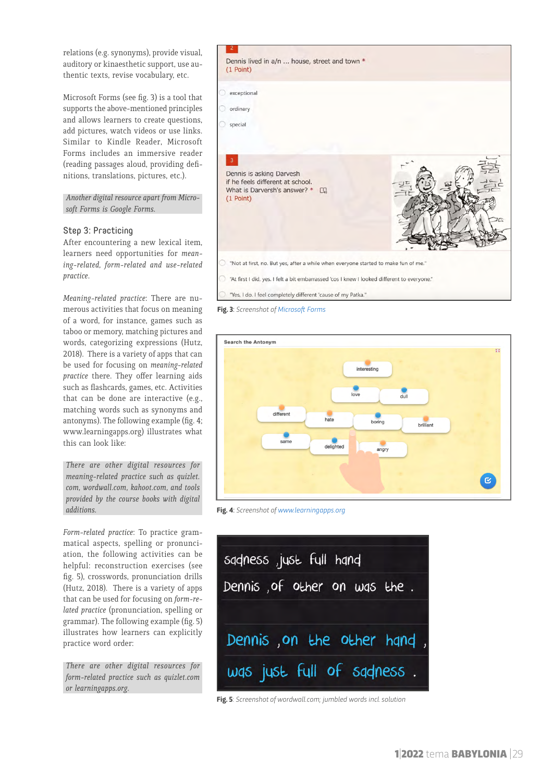relations (e.g. synonyms), provide visual, auditory or kinaesthetic support, use authentic texts, revise vocabulary, etc.

Microsoft Forms (see fig. 3) is a tool that supports the above-mentioned principles and allows learners to create questions, add pictures, watch videos or use links. Similar to Kindle Reader, Microsoft Forms includes an immersive reader (reading passages aloud, providing definitions, translations, pictures, etc.).

*Another digital resource apart from Microsoft Forms is Google Forms.*

### Step 3: Practicing

After encountering a new lexical item, learners need opportunities for *meaning-related, form-related and use-related practice*.

*Meaning-related practice*: There are numerous activities that focus on meaning of a word, for instance, games such as taboo or memory, matching pictures and words, categorizing expressions (Hutz, 2018). There is a variety of apps that can be used for focusing on *meaning-related practice* there. They offer learning aids such as flashcards, games, etc. Activities that can be done are interactive (e.g., matching words such as synonyms and antonyms). The following example (fig. 4; www.learningapps.org) illustrates what this can look like:

*There are other digital resources for meaning-related practice such as quizlet. com, wordwall.com, kahoot.com, and tools provided by the course books with digital additions.* 

*Form-related practice*: To practice grammatical aspects, spelling or pronunciation, the following activities can be helpful: reconstruction exercises (see fig. 5), crosswords, pronunciation drills (Hutz, 2018). There is a variety of apps that can be used for focusing on *form-related practice* (pronunciation, spelling or grammar). The following example (fig. 5) illustrates how learners can explicitly practice word order:

*There are other digital resources for form-related practice such as quizlet.com or learningapps.org.*





**Fig. 4**: *Screenshot of [www.learningapps.org](https://learningapps.org)*

| sadness, just full hand      |  |
|------------------------------|--|
| Dennis, of other on was the. |  |
|                              |  |
| Dennis, on the other hand,   |  |
| was just full of sadness.    |  |

**Fig. 5**: *Screenshot of wordwall.com; jumbled words incl. solution*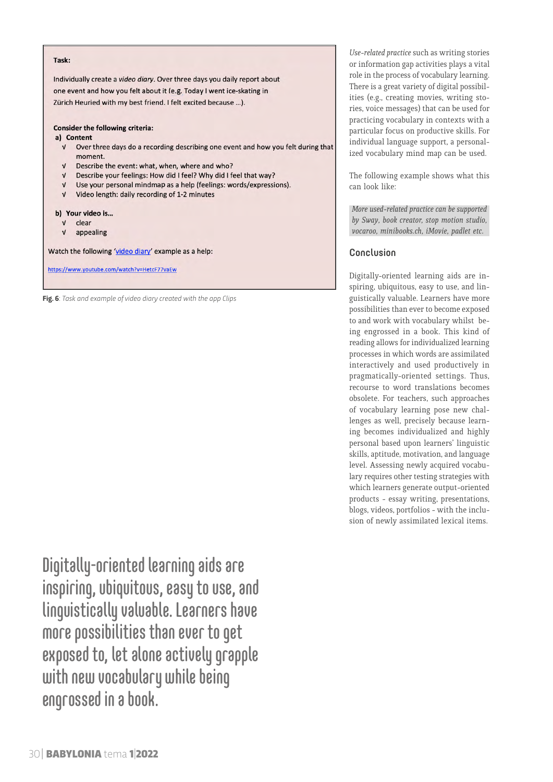#### Task:

Individually create a video diary. Over three days you daily report about one event and how you felt about it (e.g. Today I went ice-skating in Zürich Heuried with my best friend. I felt excited because ...).

### **Consider the following criteria:**

#### a) Content

- V Over three days do a recording describing one event and how you felt during that moment.
- V Describe the event: what, when, where and who?
- V Describe your feelings: How did I feel? Why did I feel that way?
- V Use your personal mindmap as a help (feelings: words/expressions).
- V Video length: daily recording of 1-2 minutes

#### b) Your video is...

- $V$  clear
- $V$  appealing

Watch the following 'video diary' example as a help:

https://www.youtube.com/watch?v=HetcF77vaEw

**Fig. 6**: *Task and example of video diary created with the app Clips*

Digitally-oriented learning aids are inspiring, ubiquitous, easy to use, and linguistically valuable. Learners have more possibilities than ever to get exposed to, let alone actively grapple with new vocabulary while being engrossed in a book.

*Use-related practice* such as writing stories or information gap activities plays a vital role in the process of vocabulary learning. There is a great variety of digital possibilities (e.g., creating movies, writing stories, voice messages) that can be used for practicing vocabulary in contexts with a particular focus on productive skills. For individual language support, a personalized vocabulary mind map can be used.

The following example shows what this can look like:

*More used-related practice can be supported by Sway, book creator, stop motion studio, vocaroo, minibooks.ch, iMovie, padlet etc.* 

# Conclusion

Digitally-oriented learning aids are inspiring, ubiquitous, easy to use, and linguistically valuable. Learners have more possibilities than ever to become exposed to and work with vocabulary whilst being engrossed in a book. This kind of reading allows for individualized learning processes in which words are assimilated interactively and used productively in pragmatically-oriented settings. Thus, recourse to word translations becomes obsolete. For teachers, such approaches of vocabulary learning pose new challenges as well, precisely because learning becomes individualized and highly personal based upon learners' linguistic skills, aptitude, motivation, and language level. Assessing newly acquired vocabulary requires other testing strategies with which learners generate output-oriented products - essay writing, presentations, blogs, videos, portfolios - with the inclusion of newly assimilated lexical items.